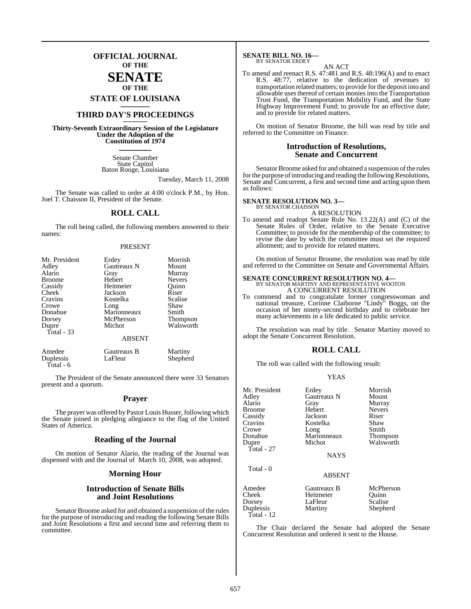## **OFFICIAL JOURNAL OF THE**

## **SENATE OF THE**

**STATE OF LOUISIANA \_\_\_\_\_\_\_**

## **THIRD DAY'S PROCEEDINGS \_\_\_\_\_\_\_**

**Thirty-Seventh Extraordinary Session of the Legislature Under the Adoption of the Constitution of 1974 \_\_\_\_\_\_\_**

> Senate Chamber State Capitol Baton Rouge, Louisiana

> > Tuesday, March 11, 2008

The Senate was called to order at 4:00 o'clock P.M., by Hon. Joel T. Chaisson II, President of the Senate.

## **ROLL CALL**

The roll being called, the following members answered to their names:

### PRESENT

| Mr. President<br>Adley<br>Alario<br><b>Broome</b><br>Cassidy<br>Cheek<br>Cravins | Erdey<br>Gautreaux N<br>Gray<br>Hebert<br>Heitmeier<br>Jackson<br>Kostelka | Morrish<br>Mount<br>Murray<br><b>Nevers</b><br>Ouinn<br>Riser<br>Scalise |
|----------------------------------------------------------------------------------|----------------------------------------------------------------------------|--------------------------------------------------------------------------|
| Crowe                                                                            | Long                                                                       | Shaw                                                                     |
| Donahue                                                                          | Marionneaux                                                                | Smith                                                                    |
| Dorsey                                                                           | McPherson                                                                  | <b>Thompson</b>                                                          |
| Dupre<br>Total - 33                                                              | Michot                                                                     | Walsworth                                                                |
|                                                                                  | <b>ABSENT</b>                                                              |                                                                          |
| Amedee                                                                           | Gautreaux B                                                                | Martiny                                                                  |

Duplessis LaFleur Shepherd

Total - 6

The President of the Senate announced there were 33 Senators present and a quorum.

### **Prayer**

The prayer was offered by Pastor Louis Husser, following which the Senate joined in pledging allegiance to the flag of the United States of America.

### **Reading of the Journal**

On motion of Senator Alario, the reading of the Journal was dispensed with and the Journal of March 10, 2008, was adopted.

### **Morning Hour**

### **Introduction of Senate Bills and Joint Resolutions**

Senator Broome asked for and obtained a suspension of the rules for the purpose of introducing and reading the following Senate Bills and Joint Resolutions a first and second time and referring them to committee.

# **SENATE BILL NO. 16—** BY SENATOR ERDEY

AN ACT

To amend and reenact R.S. 47:481 and R.S. 48:196(A) and to enact R.S. 48:77, relative to the dedication of revenues to transportation related matters; to provide forthe deposit into and allowable uses thereof of certain monies into the Transportation Trust Fund, the Transportation Mobility Fund, and the State Highway Improvement Fund; to provide for an effective date; and to provide for related matters.

On motion of Senator Broome, the bill was read by title and referred to the Committee on Finance.

### **Introduction of Resolutions, Senate and Concurrent**

Senator Broome asked for and obtained a suspension of the rules for the purpose of introducing and reading the following Resolutions, Senate and Concurrent, a first and second time and acting upon them as follows:

# **SENATE RESOLUTION NO. 3—** BY SENATOR CHAISSON

A RESOLUTION

To amend and readopt Senate Rule No. 13.22(A) and (C) of the Senate Rules of Order, relative to the Senate Executive Committee; to provide for the membership of the committee; to revise the date by which the committee must set the required allotment; and to provide for related matters.

On motion of Senator Broome, the resolution was read by title and referred to the Committee on Senate and Governmental Affairs.

## **SENATE CONCURRENT RESOLUTION NO. 4—** BY SENATOR MARTINY AND REPRESENTATIVE WOOTON A CONCURRENT RESOLUTION

To commend and to congratulate former congresswoman and national treasure, Corinne Claiborne "Lindy" Boggs, on the occasion of her ninety-second birthday and to celebrate her many achievements in a life dedicated to public service.

The resolution was read by title. Senator Martiny moved to adopt the Senate Concurrent Resolution.

### **ROLL CALL**

The roll was called with the following result:

### YEAS

| Mr. President | Erdey               | Morrish       |
|---------------|---------------------|---------------|
| Adley         | Gautreaux N         | Mount         |
| Alario        | Gray                | Murray        |
| <b>Broome</b> | Hebert              | <b>Nevers</b> |
| Cassidy       | Jackson             | Riser         |
| Cravins       | Kostelka            | Shaw          |
| Crowe         |                     | Smith         |
| Donahue       | Long<br>Marionneaux | Thompson      |
| Dupre         | Michot              | Walsworth     |
| Total - 27    |                     |               |
|               | <b>NAYS</b>         |               |
| Total - 0     |                     |               |
|               | <b>ABSENT</b>       |               |
| Amedee        | Gautreaux B         | McPherson     |
| Cheek         | Heitmeier           | Ouinn         |
| Dorsey        | LaFleur             | Scalise       |
| Duplessis     | Martiny             | Shepherd      |
| Total - 12    |                     |               |

The Chair declared the Senate had adopted the Senate Concurrent Resolution and ordered it sent to the House.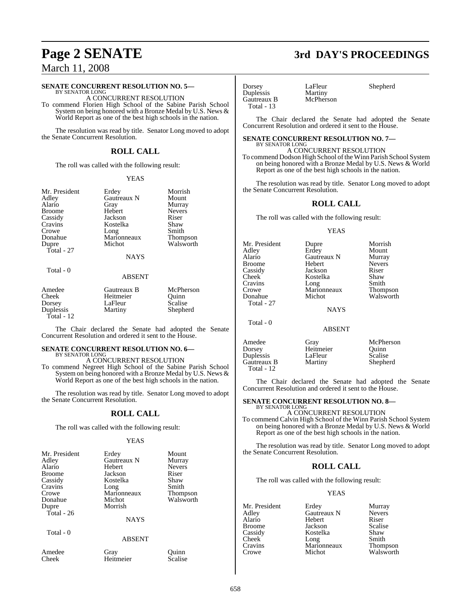# March 11, 2008

### **SENATE CONCURRENT RESOLUTION NO. 5—**

BY SENATOR LONG A CONCURRENT RESOLUTION

To commend Florien High School of the Sabine Parish School System on being honored with a Bronze Medal by U.S. News & World Report as one of the best high schools in the nation.

The resolution was read by title. Senator Long moved to adopt the Senate Concurrent Resolution.

## **ROLL CALL**

The roll was called with the following result:

### YEAS

| Mr. President<br>Adley<br>Alario<br><b>Broome</b><br>Cassidy<br>Cravins<br>Crowe<br>Donahue<br>Dupre | Erdey<br>Gautreaux N<br>Gray<br>Hebert<br>Jackson<br>Kostelka<br>Long<br>Marionneaux<br>Michot | Morrish<br>Mount<br>Murray<br><b>Nevers</b><br>Riser<br>Shaw<br>Smith<br><b>Thompson</b><br>Walsworth |
|------------------------------------------------------------------------------------------------------|------------------------------------------------------------------------------------------------|-------------------------------------------------------------------------------------------------------|
| Total - 27                                                                                           | <b>NAYS</b>                                                                                    |                                                                                                       |
| Total - 0                                                                                            | <b>ABSENT</b>                                                                                  |                                                                                                       |

| Amedee       | Gautreaux B | McPherson |
|--------------|-------------|-----------|
| Cheek        | Heitmeier   | Ouinn     |
| Dorsey       | LaFleur     | Scalise   |
| Duplessis    | Martiny     | Shepherd  |
| Total - $12$ |             |           |

The Chair declared the Senate had adopted the Senate Concurrent Resolution and ordered it sent to the House.

## **SENATE CONCURRENT RESOLUTION NO. 6—**

BY SENATOR LONG A CONCURRENT RESOLUTION

To commend Negreet High School of the Sabine Parish School System on being honored with a Bronze Medal by U.S. News & World Report as one of the best high schools in the nation.

The resolution was read by title. Senator Long moved to adopt the Senate Concurrent Resolution.

### **ROLL CALL**

The roll was called with the following result:

### YEAS

| Mr. President   | Erdey             | Mount            |
|-----------------|-------------------|------------------|
| Adley           | Gautreaux N       | Murray           |
| Alario          | Hebert            | <b>Nevers</b>    |
| <b>Broome</b>   | Jackson           | Riser            |
| Cassidy         | Kostelka          | Shaw             |
| Cravins         | Long              | Smith            |
| Crowe           | Marionneaux       | <b>Thompson</b>  |
| Donahue         | Michot            | Walsworth        |
| Dupre           | Morrish           |                  |
| Total - 26      |                   |                  |
|                 | <b>NAYS</b>       |                  |
| Total - 0       |                   |                  |
|                 | <b>ABSENT</b>     |                  |
| Amedee<br>Cheek | Gray<br>Heitmeier | Ouinn<br>Scalise |
|                 |                   |                  |

# **Page 2 SENATE 3rd DAY'S PROCEEDINGS**

Dorsey LaFleur Shepherd<br>
Duplessis Martiny Shepherd Duplessis Martiny Gautreaux B Total - 13

The Chair declared the Senate had adopted the Senate Concurrent Resolution and ordered it sent to the House.

### **SENATE CONCURRENT RESOLUTION NO. 7—** BY SENATOR LONG

A CONCURRENT RESOLUTION

To commend Dodson High School oftheWinn Parish School System on being honored with a Bronze Medal by U.S. News & World Report as one of the best high schools in the nation.

The resolution was read by title. Senator Long moved to adopt the Senate Concurrent Resolution.

### **ROLL CALL**

The roll was called with the following result:

### YEAS

| Mr. President<br>Adley<br>Alario | Dupre<br>Erdey<br>Gautreaux N | Morrish<br>Mount<br>Murray |
|----------------------------------|-------------------------------|----------------------------|
| Broome                           | Hebert                        | <b>Nevers</b>              |
| Cassidy                          | Jackson                       | Riser                      |
| Cheek                            | Kostelka                      | Shaw                       |
| Cravins                          | Long                          | Smith                      |
| Crowe                            | Marionneaux                   | Thompson                   |
| Donahue                          | Michot                        | Walsworth                  |
| Total - 27                       |                               |                            |
|                                  | <b>NAYS</b>                   |                            |
| Total - 0                        | ABSENT                        |                            |

Duplessis LaFleur Scalise<br>Gautreaux B Martiny Shepherd Gautreaux B Total - 12

Amedee Gray McPherson<br>
Dorsey Heitmeier Quinn Heitmeier Quinn<br>LaFleur Scalise

The Chair declared the Senate had adopted the Senate Concurrent Resolution and ordered it sent to the House.

### **SENATE CONCURRENT RESOLUTION NO. 8—** BY SENATOR LONG

A CONCURRENT RESOLUTION To commend Calvin High School of the Winn Parish School System on being honored with a Bronze Medal by U.S. News & World Report as one of the best high schools in the nation.

The resolution was read by title. Senator Long moved to adopt the Senate Concurrent Resolution.

### **ROLL CALL**

The roll was called with the following result:

### YEAS

| Mr. President | Erdey       | Murray                |
|---------------|-------------|-----------------------|
| Adley         | Gautreaux N | <b>Nevers</b>         |
| Alario        | Hebert      | Riser                 |
| <b>Broome</b> | Jackson     | Scalise               |
| Cassidy       | Kostelka    | Shaw                  |
| Cheek         | Long        | Smith                 |
| Cravins       | Marionneaux |                       |
| Crowe         | Michot      | Thompson<br>Walsworth |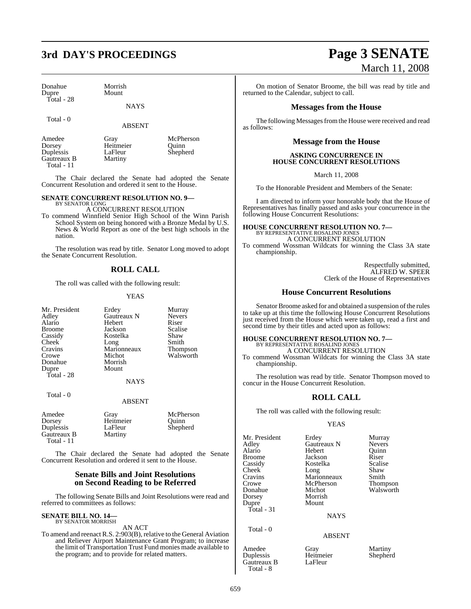# **3rd DAY'S PROCEEDINGS Page 3 SENATE**

Donahue Morrish Total - 28

Mount

NAYS

Total - 0

ABSENT

Heitmeier Quinn<br>LaFleur Shepherd

Amedee Gray McPherson<br>
Dorsey Heitmeier Quinn **Duplessis** LaFleur<br>
Gautreaux B Martiny Gautreaux B Total - 11

The Chair declared the Senate had adopted the Senate Concurrent Resolution and ordered it sent to the House.

### **SENATE CONCURRENT RESOLUTION NO. 9—**

BY SENATOR LONG A CONCURRENT RESOLUTION

To commend Winnfield Senior High School of the Winn Parish School System on being honored with a Bronze Medal by U.S. News & World Report as one of the best high schools in the nation.

The resolution was read by title. Senator Long moved to adopt the Senate Concurrent Resolution.

### **ROLL CALL**

The roll was called with the following result:

### YEAS

| Mr. President<br>Adley<br>Alario | Erdey<br><b>Gautreaux N</b><br>Hebert | Murray<br><b>Nevers</b><br>Riser |
|----------------------------------|---------------------------------------|----------------------------------|
| <b>Broome</b>                    | Jackson                               | <b>Scalise</b>                   |
| Cassidy                          | Kostelka                              | Shaw                             |
| Cheek                            | Long                                  | Smith                            |
| Cravins                          | Marionneaux                           | <b>Thompson</b>                  |
| Crowe                            | Michot                                | Walsworth                        |
| Donahue                          | Morrish                               |                                  |
| Dupre                            | Mount                                 |                                  |
| Total - 28                       |                                       |                                  |
|                                  | <b>NAYS</b>                           |                                  |
| Total $-0$                       |                                       |                                  |
|                                  | <b>ABSENT</b>                         |                                  |
|                                  |                                       |                                  |

| Amedee      | Grav      | McPherson |
|-------------|-----------|-----------|
| Dorsey      | Heitmeier | Ouinn     |
| Duplessis   | LaFleur   | Shepherd  |
| Gautreaux B | Martiny   |           |
| Total $-11$ |           |           |

The Chair declared the Senate had adopted the Senate Concurrent Resolution and ordered it sent to the House.

### **Senate Bills and Joint Resolutions on Second Reading to be Referred**

The following Senate Bills and Joint Resolutions were read and referred to committees as follows:

# **SENATE BILL NO. 14—** BY SENATOR MORRISH

AN ACT

To amend and reenact R.S. 2:903(B), relative to the General Aviation and Reliever Airport Maintenance Grant Program; to increase the limit of Transportation Trust Fund monies made available to the program; and to provide for related matters.

# March 11, 2008

On motion of Senator Broome, the bill was read by title and returned to the Calendar, subject to call.

### **Messages from the House**

The following Messages from the House were received and read as follows:

### **Message from the House**

### **ASKING CONCURRENCE IN HOUSE CONCURRENT RESOLUTIONS**

March 11, 2008

To the Honorable President and Members of the Senate:

I am directed to inform your honorable body that the House of Representatives has finally passed and asks your concurrence in the following House Concurrent Resolutions:

# **HOUSE CONCURRENT RESOLUTION NO. 7—** BY REPRESENTATIVE ROSALIND JONES

A CONCURRENT RESOLUTION

To commend Wossman Wildcats for winning the Class 3A state championship.

> Respectfully submitted, ALFRED W. SPEER Clerk of the House of Representatives

### **House Concurrent Resolutions**

Senator Broome asked for and obtained a suspension of the rules to take up at this time the following House Concurrent Resolutions just received from the House which were taken up, read a first and second time by their titles and acted upon as follows:

### **HOUSE CONCURRENT RESOLUTION NO. 7—** BY REPRESENTATIVE ROSALIND JONES

A CONCURRENT RESOLUTION

To commend Wossman Wildcats for winning the Class 3A state championship.

The resolution was read by title. Senator Thompson moved to concur in the House Concurrent Resolution.

### **ROLL CALL**

The roll was called with the following result:

### YEAS

| Mr. President<br>Adlev<br>Alario<br>Broome<br>Cassidy<br>Cheek<br>Cravins<br>Crowe<br>Donahue<br>Dorsey<br>Dupre<br>Total - 31 | Erdey<br>Gautreaux N<br>Hebert<br>Jackson<br>Kostelka<br>Long<br>Marionneaux<br>McPherson<br>Michot<br>Morrish<br>Mount<br><b>NAYS</b> | Murray<br><b>Nevers</b><br>Ouinn<br>Riser<br>Scalise<br>Shaw<br>Smith<br>Thompson<br>Walsworth |
|--------------------------------------------------------------------------------------------------------------------------------|----------------------------------------------------------------------------------------------------------------------------------------|------------------------------------------------------------------------------------------------|
| Total - 0                                                                                                                      | <b>ABSENT</b>                                                                                                                          |                                                                                                |
| Amedee<br>Duplessis<br>Gautreaux B                                                                                             | Gray<br>Heitmeier<br>LaFleur                                                                                                           | Martiny<br>Shepherd                                                                            |

Gautreaux B Total - 8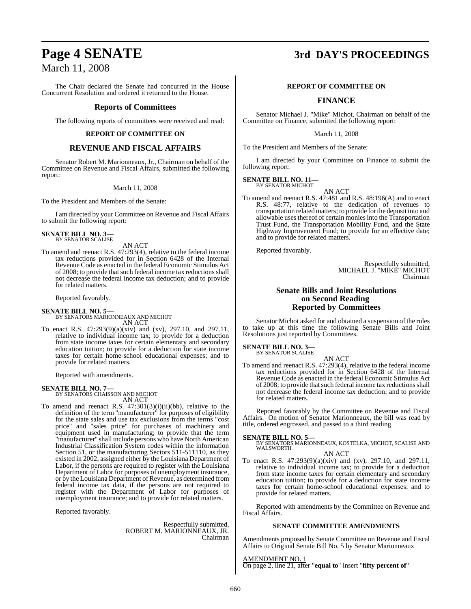# March 11, 2008

The Chair declared the Senate had concurred in the House Concurrent Resolution and ordered it returned to the House.

### **Reports of Committees**

The following reports of committees were received and read:

### **REPORT OF COMMITTEE ON**

### **REVENUE AND FISCAL AFFAIRS**

Senator Robert M. Marionneaux, Jr., Chairman on behalf of the Committee on Revenue and Fiscal Affairs, submitted the following report:

### March 11, 2008

To the President and Members of the Senate:

I am directed by your Committee on Revenue and Fiscal Affairs to submit the following report:

### **SENATE BILL NO. 3—** BY SENATOR SCALISE

AN ACT

To amend and reenact R.S. 47:293(4), relative to the federal income tax reductions provided for in Section 6428 of the Internal Revenue Code as enacted in the federal Economic Stimulus Act of 2008; to provide that such federal income tax reductions shall not decrease the federal income tax deduction; and to provide for related matters.

Reported favorably.

### **SENATE BILL NO. 5—**

BY SENATORS MARIONNEAUX AND MICHOT AN ACT

To enact R.S. 47:293(9)(a)(xiv) and (xv), 297.10, and 297.11, relative to individual income tax; to provide for a deduction from state income taxes for certain elementary and secondary education tuition; to provide for a deduction for state income taxes for certain home-school educational expenses; and to provide for related matters.

Reported with amendments.

### **SENATE BILL NO. 7—**

BY SENATORS CHAISSON AND MICHOT AN ACT

To amend and reenact R.S. 47:301(3)(i)(ii)(bb), relative to the definition of the term "manufacturer" for purposes of eligibility for the state sales and use tax exclusions from the terms "cost price" and "sales price" for purchases of machinery and equipment used in manufacturing; to provide that the term "manufacturer" shall include persons who have North American Industrial Classification System codes within the information Section 51, or the manufacturing Sectors 511-511110, as they existed in 2002, assigned either by the Louisiana Department of Labor, if the persons are required to register with the Louisiana Department of Labor for purposes of unemployment insurance, or by the Louisiana Department of Revenue, as determined from federal income tax data, if the persons are not required to register with the Department of Labor for purposes of unemployment insurance; and to provide for related matters.

Reported favorably.

Respectfully submitted, ROBERT M. MARIONNEAUX, JR. Chairman

# **Page 4 SENATE 3rd DAY'S PROCEEDINGS**

### **REPORT OF COMMITTEE ON**

### **FINANCE**

Senator Michael J. "Mike" Michot, Chairman on behalf of the Committee on Finance, submitted the following report:

March 11, 2008

To the President and Members of the Senate:

I am directed by your Committee on Finance to submit the following report:

**SENATE BILL NO. 11—** BY SENATOR MICHOT

AN ACT

To amend and reenact R.S. 47:481 and R.S. 48:196(A) and to enact R.S. 48:77, relative to the dedication of revenues to transportation related matters; to provide forthe deposit into and allowable uses thereof of certain monies into the Transportation Trust Fund, the Transportation Mobility Fund, and the State Highway Improvement Fund; to provide for an effective date; and to provide for related matters.

Reported favorably.

Respectfully submitted, MICHAEL J. "MIKE" MICHOT Chairman

### **Senate Bills and Joint Resolutions on Second Reading Reported by Committees**

Senator Michot asked for and obtained a suspension of the rules to take up at this time the following Senate Bills and Joint Resolutions just reported by Committees.

**SENATE BILL NO. 3—** BY SENATOR SCALISE

AN ACT

To amend and reenact R.S. 47:293(4), relative to the federal income tax reductions provided for in Section 6428 of the Internal Revenue Code as enacted in the federal Economic Stimulus Act of 2008; to provide that such federal income tax reductions shall not decrease the federal income tax deduction; and to provide for related matters.

Reported favorably by the Committee on Revenue and Fiscal Affairs. On motion of Senator Marionneaux, the bill was read by title, ordered engrossed, and passed to a third reading.

**SENATE BILL NO. 5—** BY SENATORS MARIONNEAUX, KOSTELKA, MICHOT, SCALISE AND WALSWORTH AN ACT

To enact R.S. 47:293(9)(a)(xiv) and (xv), 297.10, and 297.11, relative to individual income tax; to provide for a deduction from state income taxes for certain elementary and secondary education tuition; to provide for a deduction for state income taxes for certain home-school educational expenses; and to provide for related matters.

Reported with amendments by the Committee on Revenue and Fiscal Affairs.

### **SENATE COMMITTEE AMENDMENTS**

Amendments proposed by Senate Committee on Revenue and Fiscal Affairs to Original Senate Bill No. 5 by Senator Marionneaux

AMENDMENT NO. 1 On page 2, line 21, after "**equal to**" insert "**fifty percent of**"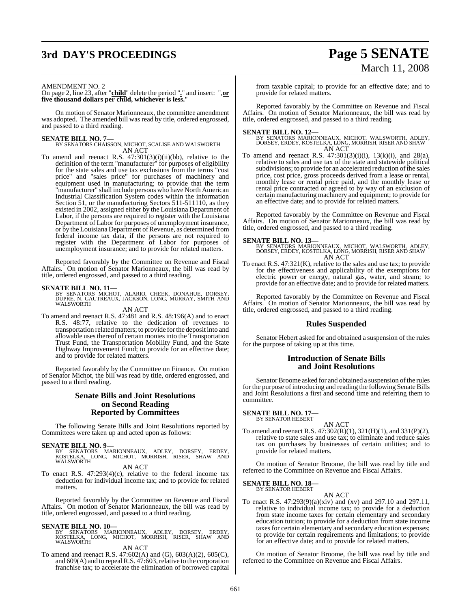# **3rd DAY'S PROCEEDINGS Page 5 SENATE**

# March 11, 2008

### AMENDMENT NO. 2

On page 2, line 23, after "**child**" delete the period "**.**" and insert: ",**or five thousand dollars per child, whichever is less.**"

On motion of Senator Marionneaux, the committee amendment was adopted. The amended bill was read by title, ordered engrossed, and passed to a third reading.

**SENATE BILL NO. 7—** BY SENATORS CHAISSON, MICHOT, SCALISE AND WALSWORTH AN ACT

To amend and reenact R.S. 47:301(3)(i)(ii)(bb), relative to the definition of the term "manufacturer" for purposes of eligibility for the state sales and use tax exclusions from the terms "cost price" and "sales price" for purchases of machinery and equipment used in manufacturing; to provide that the term "manufacturer" shall include persons who have North American Industrial Classification System codes within the information Section 51, or the manufacturing Sectors 511-511110, as they existed in 2002, assigned either by the Louisiana Department of Labor, if the persons are required to register with the Louisiana Department of Labor for purposes of unemployment insurance, or by the Louisiana Department of Revenue, as determined from federal income tax data, if the persons are not required to register with the Department of Labor for purposes of unemployment insurance; and to provide for related matters.

Reported favorably by the Committee on Revenue and Fiscal Affairs. On motion of Senator Marionneaux, the bill was read by title, ordered engrossed, and passed to a third reading.

**SENATE BILL NO. 11—** BY SENATORS MICHOT, ALARIO, CHEEK, DONAHUE, DORSEY, DUPRE, N. GAUTREAUX, JACKSON, LONG, MURRAY, SMITH AND WALSWORTH

### AN ACT

To amend and reenact R.S. 47:481 and R.S. 48:196(A) and to enact R.S. 48:77, relative to the dedication of revenues to transportation relatedmatters; to provide forthe deposit into and allowable uses thereof of certain moniesinto the Transportation Trust Fund, the Transportation Mobility Fund, and the State Highway Improvement Fund; to provide for an effective date; and to provide for related matters.

Reported favorably by the Committee on Finance. On motion of Senator Michot, the bill was read by title, ordered engrossed, and passed to a third reading.

### **Senate Bills and Joint Resolutions on Second Reading Reported by Committees**

The following Senate Bills and Joint Resolutions reported by Committees were taken up and acted upon as follows:

**SENATE BILL NO. 9—**<br>BY SENATORS MARIONNEAUX, ADLEY, DORSEY, ERDEY,<br>KOSTELKA, LONG, MICHOT, MORRISH, RISER, SHAW AND<br>WALSWORTH

### AN ACT

To enact R.S. 47:293(4)(c), relative to the federal income tax deduction for individual income tax; and to provide for related matters.

Reported favorably by the Committee on Revenue and Fiscal Affairs. On motion of Senator Marionneaux, the bill was read by title, ordered engrossed, and passed to a third reading.

**SENATE BILL NO. 10—**<br>BY SENATORS MARIONNEAUX, ADLEY, DORSEY, ERDEY,<br>KOSTELKA, LONG, MICHOT, MORRISH, RISER, SHAW AND<br>WALSWORTH

### AN ACT

To amend and reenact R.S. 47:602(A) and (G), 603(A)(2), 605(C), and 609(A) and to repeal R.S. 47:603, relative to the corporation franchise tax; to accelerate the elimination of borrowed capital from taxable capital; to provide for an effective date; and to provide for related matters.

Reported favorably by the Committee on Revenue and Fiscal Affairs. On motion of Senator Marionneaux, the bill was read by title, ordered engrossed, and passed to a third reading.

**SENATE BILL NO. 12—**<br>BY SENATORS MARIONNEAUX, MICHOT, WALSWORTH, ADLEY, DORSEY, ERDEY, KOSTELKA, LONG, MORRISH, RISER AND SHAW<br>AN ACT

To amend and reenact R.S.  $47:301(3)(i)(i)$ ,  $13(k)(i)$ , and  $28(a)$ , To amend and reenact R.S.  $47:301(3)(i)(i)$ ,  $13(k)(i)$ , and  $28(a)$ , relative to sales and use tax of the state and statewide political subdivisions; to provide for an accelerated reduction of the sales price, cost price, gross proceeds derived from a lease or rental, monthly lease or rental price paid, and the monthly lease or rental price contracted or agreed to by way of an exclusion of certain manufacturing machinery and equipment; to provide for an effective date; and to provide for related matters.

Reported favorably by the Committee on Revenue and Fiscal Affairs. On motion of Senator Marionneaux, the bill was read by title, ordered engrossed, and passed to a third reading.

**SENATE BILL NO. 13—**<br>BY SENATORS MARIONNEAUX, MICHOT, WALSWORTH, ADLEY, DORSEY, ERDEY, KOSTELKA, LONG, MORRISH, RISER AND SHAW AN ACT

To enact R.S. 47:321(K), relative to the sales and use tax; to provide for the effectiveness and applicability of the exemptions for electric power or energy, natural gas, water, and steam; to provide for an effective date; and to provide for related matters.

Reported favorably by the Committee on Revenue and Fiscal Affairs. On motion of Senator Marionneaux, the bill was read by title, ordered engrossed, and passed to a third reading.

### **Rules Suspended**

Senator Hebert asked for and obtained a suspension of the rules for the purpose of taking up at this time.

### **Introduction of Senate Bills and Joint Resolutions**

Senator Broome asked for and obtained a suspension of the rules for the purpose of introducing and reading the following Senate Bills and Joint Resolutions a first and second time and referring them to committee.

### **SENATE BILL NO. 17—** BY SENATOR HEBERT

AN ACT To amend and reenact R.S. 47:302(R)(1), 321(H)(1), and 331(P)(2), relative to state sales and use tax; to eliminate and reduce sales tax on purchases by businesses of certain utilities; and to provide for related matters.

On motion of Senator Broome, the bill was read by title and referred to the Committee on Revenue and Fiscal Affairs.

# **SENATE BILL NO. 18—** BY SENATOR HEBERT

AN ACT

To enact R.S. 47:293(9)(a)(xiv) and (xv) and 297.10 and 297.11, relative to individual income tax; to provide for a deduction from state income taxes for certain elementary and secondary education tuition; to provide for a deduction from state income taxes for certain elementary and secondary education expenses; to provide for certain requirements and limitations; to provide for an effective date; and to provide for related matters.

On motion of Senator Broome, the bill was read by title and referred to the Committee on Revenue and Fiscal Affairs.